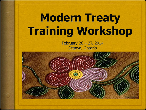# **Modern Treaty Training Workshop**

February  $26 - 27$ , 2014 Ottawa, Ontario

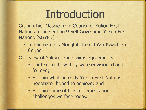# Introduction

Grand Chief Massie from Council of Yukon First Nations representing 9 Self Governing Yukon First Nations (SGYFN)

 Indian name is Monglutt from Ta'an Kwäch'än **Council** 

Overview of Yukon Land Claims agreements:

- Context for how they were envisioned and formed;
- Explain what an early Yukon First Nations negotiator hoped to achieve; and
- Explain some of the implementation challenges we face today.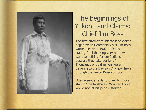

#### The beginnings of Yukon Land Claims: Chief Jim Boss

The first attempt to initiate land claims began when Hereditary Chief Jim Boss wrote a letter in 1902 to Ottawa stating: "tell the King very hard, we want something for our Indians because they take our land." Thousands of gold miners were traveling to the Dawson City gold fields through the Yukon River corridor.

Ottawa sent a reply to Chief Jim Boss stating "the Northwest Mounted Police would not let his people starve."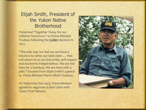#### Elijah Smith, President of the Yukon Native Brotherhood

Presented "Together Today for our Children Tomorrow" to Prime Minister Trudeau following the *Calder* decision in 1973.

"The only way we feel we can have a future is to settle our land claim … that will return to us our lost pride, self-respect and economic independence. We are not here for a handout. We are here with a plan." Excerpt from Elijah Smith's speech to Prime Minister Pierre Elliott Trudeau.

On Valentines Day 1973, Prime Minister agreed to negotiate a land claim with Yukon First Nations.

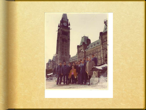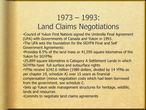#### $1973 - 1993$ : **Land Claims Negotiations**

- .Council of Yukon First Nations signed the Umbrella Final Agreement (UFA) with Governments of Canada and Yukon in 1993.
- . The UFA sets the foundation for the SGYFN Final and Self **Government Agreements:**
- . Provides 8.5% of the land mass or 41,595 square kilometres of the **Yukon for SGYFNs**
- .25,899 square kilometres is Category A Settlement Lands in which SGYFNs have full surface and subsurface rights
- .YFNs receive \$242.6 million (1989 dollars, divided by 14 YFNs as per chapter 19, schedule A) over 15 years as financial

compensation (minus negotiation costs which had been borrowed from the government, see schedule C.

- .Sets up Yukon wide management structures for heritage, wildlife, lands and resources
- •Commits to negotiate land claims agreements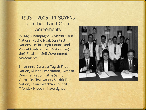#### 1993 – 2006: 11 SGYFNs sign their Land Claim **Agreements**

In 1995, Champagne & Aishihik First Nations, Nacho Nyak Dun First Nations, Teslin Tlingit Council and Vuntut Gwitchin First Nations sign their Final and Self Government Agreements.

Since 1995, Carcross Tagish First Nation, Kluane First Nation, Kwanlin Dun First Nation, Little Salmon Carmacks First Nation, Selkirk First Nation, Ta'an Kwach'an Council, Tr'ondek Hwechin have signed.

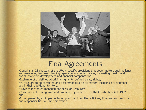

#### Final Agreements

•Contains all 28 chapters of the UFA + specific provisions that cover matters such as lands and resources, land use planning, special management areas, harvesting, health and social, economic development and financial compensation.

- •Exchange of undefined Aboriginal rights for defined treaty rights;
- •SGYFNs are to be consulted and accommodated on all matters including development within their traditional territory;
- •Provides for the co-management of Yukon resources;
- •Constitutionally recognized and protected by section 35 of the Constitution Act, 1982; and
- •Accompanied by an implementation plan that identifies activities, time frames, resources and responsibilities for implementation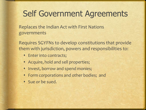### Self Government Agreements

Replaces the Indian Act with First Nations governments

Requires SGYFNs to develop constitutions that provide them with jurisdiction, powers and responsibilities to:

- Enter into contracts;
- Acquire, hold and sell properties;
- **Invest, borrow and spend monies;**
- Form corporations and other bodies; and
- Sue or be sued.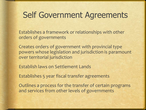### Self Government Agreements

Establishes a framework or relationships with other orders of governments

Creates orders of government with provincial type powers whose legislation and jurisdiction is paramount over territorial jurisdiction

Establish laws on Settlement Lands

Establishes 5 year fiscal transfer agreements

Outlines a process for the transfer of certain programs and services from other levels of governments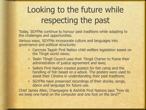## Looking to the future while respecting the past

Today, SGYFNs continue to honour past traditions while adapting to the challenges and opportunities.

Various ways, SGYFNs incorporate culture and languages into governance and political structures:

- Carcross Tagish First Nation child welfare legislation based on the Tlingit world views;
- Teslin Tlingit Council uses their Tlingit Charter to frame their administration of justice agreement and laws;
- Selkirk First Nation created posters for fish camp and the handling of fish based on a adooli. The posters were used to assist their Citizens in understanding their past traditions;
- SGYFNs have preserved recordings of their stories, songs, dance and language for future use.

Chief James Allen, Champagne & Aishihik First Nations says "how do we keep one hand on the computer and one foot on the land?"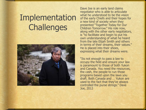### Implementation **Challenges**



Dave Joe is an early land claims negotiator who is able to articulate what he understood to be the vision of the early Chiefs and their hopes for a new kind of society when they presented "Together Today for Our Children Tomorrow." His role now, along with the other early negotiators, is "to facilitate and begin to put his own understanding of what he heard from the late Elijah Smith and others in terms of their dreams, their values." He is placed into their shoes, expressing what their dreams were.

"Its not enough to pass a law to occupy the field and ensure your law is paramount to those of both Yukon and Canada. You need the resources, the cash, the people to run those programs based upon the laws you draft. Both Canada and … Yukon are used to the fact that they've always controlled the purse strings." Dave Joe, 2012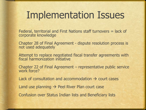## Implementation Issues

Federal, territorial and First Nations staff turnovers = lack of corporate knowledge

Chapter 28 of Final Agreement - dispute resolution process is not used adequately

Attempt to replace negotiated fiscal transfer agreements with fiscal harmonization initiative

Chapter 22 of Final Agreement – representative public service work force?

Lack of consultation and accommodation  $\rightarrow$  court cases

Land use planning  $\rightarrow$  Peel River Plan court case

Confusion over Status Indian lists and Beneficiary lists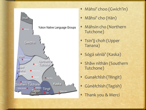

- Màhsi' choo (Gwich'in)
- Mä̀hsi' cho (Hän)
- Máhsin cho (Northern Tutchone)
- Tsin'jj choh (Upper Tanana)
- Sógá sénlá' (Kaska)
- Shä̀w níthän (Southern Tutchone)
- Gunałchîsh (Tłingit)
- Gùnèłchīsh (Tagish)
- Thank you & Merci